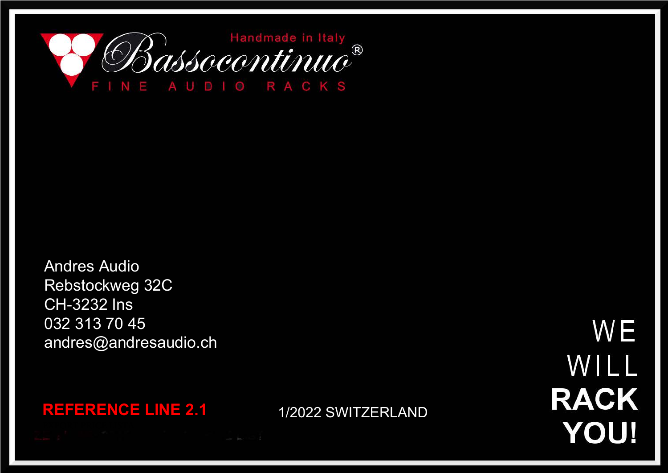

Andres Audio Rebstockweg 32C CH-3232 Ins 032 313 70 45 andres@andresaudio.ch

WE WILL **RACK YOU!** 

**REFERENCE LINE 2.1** 1/2022 SWITZERLAND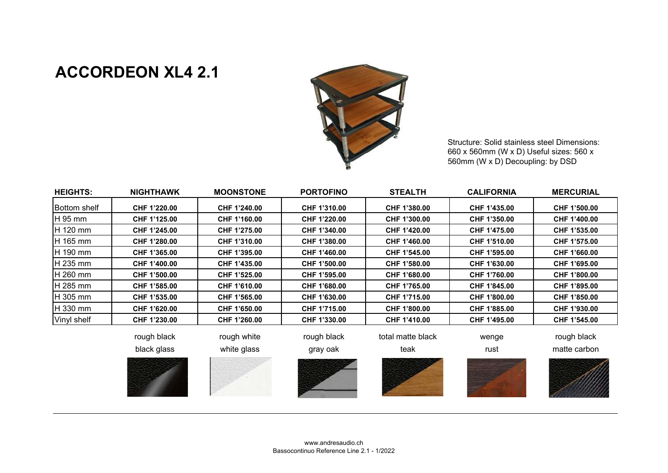## **ACCORDEON XL4 2.1**



Structure: Solid stainless steel Dimensions: 660 x 560mm (W x D) Useful sizes: 560 x 560mm (W x D) Decoupling: by DSD

| <b>HEIGHTS:</b>     | <b>NIGHTHAWK</b> | <b>MOONSTONE</b> | <b>PORTOFINO</b> | <b>STEALTH</b>    | <b>CALIFORNIA</b> | <b>MERCURIAL</b> |
|---------------------|------------------|------------------|------------------|-------------------|-------------------|------------------|
| <b>Bottom</b> shelf | CHF 1'220.00     | CHF 1'240.00     | CHF 1'310.00     | CHF 1'380.00      | CHF 1'435.00      | CHF 1'500.00     |
| H 95 mm             | CHF 1'125.00     | CHF 1'160.00     | CHF 1'220.00     | CHF 1'300.00      | CHF 1'350.00      | CHF 1'400.00     |
| <b>H</b> 120 mm     | CHF 1'245.00     | CHF 1'275.00     | CHF 1'340.00     | CHF 1'420.00      | CHF 1'475.00      | CHF 1'535.00     |
| <b>H</b> 165 mm     | CHF 1'280.00     | CHF 1'310.00     | CHF 1'380.00     | CHF 1'460.00      | CHF 1'510.00      | CHF 1'575.00     |
| IH 190 mm           | CHF 1'365.00     | CHF 1'395.00     | CHF 1'460.00     | CHF 1'545.00      | CHF 1'595.00      | CHF 1'660.00     |
| <b>IH 235 mm</b>    | CHF 1'400.00     | CHF 1'435.00     | CHF 1'500.00     | CHF 1'580.00      | CHF 1'630.00      | CHF 1'695.00     |
| <b>IH 260 mm</b>    | CHF 1'500.00     | CHF 1'525.00     | CHF 1'595.00     | CHF 1'680.00      | CHF 1'760.00      | CHF 1'800.00     |
| <b>H</b> 285 mm     | CHF 1'585.00     | CHF 1'610.00     | CHF 1'680.00     | CHF 1'765.00      | CHF 1'845.00      | CHF 1'895.00     |
| <b>H</b> 305 mm     | CHF 1'535.00     | CHF 1'565.00     | CHF 1'630.00     | CHF 1'715.00      | CHF 1'800.00      | CHF 1'850.00     |
| <b>H</b> 330 mm     | CHF 1'620.00     | CHF 1'650.00     | CHF 1'715.00     | CHF 1'800.00      | CHF 1'885.00      | CHF 1'930.00     |
| Vinyl shelf         | CHF 1'230.00     | CHF 1'260.00     | CHF 1'330.00     | CHF 1'410.00      | CHF 1'495.00      | CHF 1'545.00     |
|                     | rough black      | rough white      | rough black      | total matte black | wenge             | rough black      |

black glass white glass gray oak teak rust matte carbon









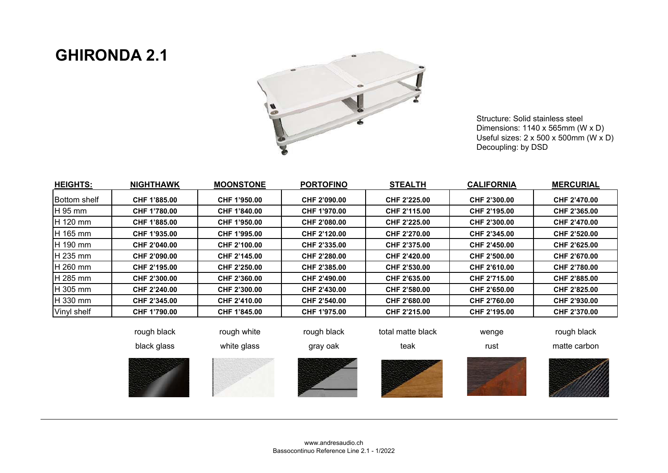## **GHIRONDA 2.1**



Structure: Solid stainless steel Dimensions: 1140 x 565mm (W x D) Useful sizes: 2 x 500 x 500mm (W x D)Decoupling: by DSD

|                 |                     |                     | <b>PORTOFINO</b>    | <b>STEALTH</b>      | <b>CALIFORNIA</b>   | <b>MERCURIAL</b>    |
|-----------------|---------------------|---------------------|---------------------|---------------------|---------------------|---------------------|
| IBottom shelf   | CHF 1'885.00        | CHF 1'950.00        | CHF 2'090.00        | <b>CHF 2'225.00</b> | CHF 2'300.00        | <b>CHF 2'470.00</b> |
| H 95 mm         | CHF 1'780.00        | CHF 1'840.00        | CHF 1'970.00        | <b>CHF 2'115.00</b> | <b>CHF 2'195.00</b> | <b>CHF 2'365.00</b> |
| <b>H</b> 120 mm | CHF 1'885.00        | CHF 1'950.00        | <b>CHF 2'080.00</b> | <b>CHF 2'225.00</b> | CHF 2'300.00        | <b>CHF 2'470.00</b> |
| H 165 mm        | CHF 1'935.00        | CHF 1'995.00        | <b>CHF 2'120.00</b> | <b>CHF 2'270.00</b> | CHF 2'345.00        | <b>CHF 2'520.00</b> |
| H 190 mm        | <b>CHF 2'040.00</b> | CHF 2'100.00        | <b>CHF 2'335.00</b> | CHF 2'375.00        | CHF 2'450.00        | <b>CHF 2'625.00</b> |
| IH 235 mm       | CHF 2'090.00        | <b>CHF 2'145.00</b> | <b>CHF 2'280.00</b> | <b>CHF 2'420.00</b> | CHF 2'500.00        | CHF 2'670.00        |
| H 260 mm        | CHF 2'195.00        | CHF 2'250.00        | CHF 2'385.00        | CHF 2'530.00        | CHF 2'610.00        | CHF 2'780.00        |
| H 285 mm        | <b>CHF 2'300.00</b> | CHF 2'360.00        | <b>CHF 2'490.00</b> | CHF 2'635.00        | CHF 2'715.00        | CHF 2'885.00        |
| <b>H</b> 305 mm | CHF 2'240.00        | CHF 2'300.00        | <b>CHF 2'430.00</b> | CHF 2'580.00        | CHF 2'650.00        | <b>CHF 2'825.00</b> |
| <b>H</b> 330 mm | <b>CHF 2'345.00</b> | <b>CHF 2'410.00</b> | CHF 2'540.00        | CHF 2'680.00        | CHF 2'760.00        | <b>CHF 2'930.00</b> |
| Vinyl shelf     | CHF 1'790.00        | CHF 1'845.00        | CHF 1'975.00        | CHF 2'215.00        | CHF 2'195.00        | <b>CHF 2'370.00</b> |
|                 |                     |                     |                     |                     |                     |                     |
|                 | rough black         | rough white         | rough black         | total matte black   | wenge               | rough black         |
|                 | black glass         | white glass         | gray oak            | teak                | rust                | matte carbon        |











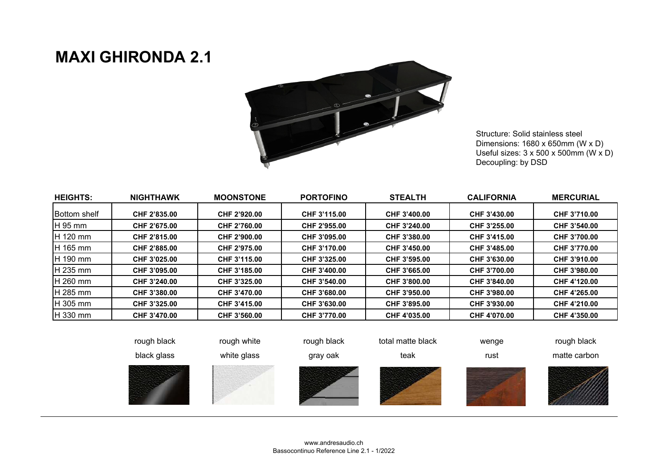## **MAXI GHIRONDA 2.1**



Structure: Solid stainless steel Dimensions: 1680 x 650mm (W x D) Useful sizes: 3 x 500 x 500mm (W x D)Decoupling: by DSD

| <b>HEIGHTS:</b>      | <b>NIGHTHAWK</b>    | <b>MOONSTONE</b> | <b>PORTOFINO</b> | <b>STEALTH</b> | <b>CALIFORNIA</b> | <b>MERCURIAL</b> |
|----------------------|---------------------|------------------|------------------|----------------|-------------------|------------------|
| <b>IBottom</b> shelf | CHF 2'835.00        | CHF 2'920.00     | CHF 3'115.00     | CHF 3'400.00   | CHF 3'430.00      | CHF 3'710.00     |
| <b>H</b> 95 mm       | CHF 2'675.00        | CHF 2'760.00     | CHF 2'955.00     | CHF 3'240.00   | CHF 3'255.00      | CHF 3'540.00     |
| $H$ 120 mm           | CHF 2'815.00        | CHF 2'900.00     | CHF 3'095.00     | CHF 3'380.00   | CHF 3'415.00      | CHF 3'700.00     |
| H 165 mm             | CHF 2'885.00        | CHF 2'975.00     | CHF 3'170.00     | CHF 3'450.00   | CHF 3'485.00      | CHF 3'770.00     |
| <b>IH</b> 190 mm     | CHF 3'025.00        | CHF 3'115.00     | CHF 3'325.00     | CHF 3'595.00   | CHF 3'630.00      | CHF 3'910.00     |
| $H$ 235 mm           | CHF 3'095.00        | CHF 3'185.00     | CHF 3'400.00     | CHF 3'665.00   | CHF 3'700.00      | CHF 3'980.00     |
| <b>IH 260 mm</b>     | CHF 3'240.00        | CHF 3'325.00     | CHF 3'540.00     | CHF 3'800.00   | CHF 3'840.00      | CHF 4'120.00     |
| <b>H</b> 285 mm      | CHF 3'380.00        | CHF 3'470.00     | CHF 3'680.00     | CHF 3'950.00   | CHF 3'980.00      | CHF 4'265.00     |
| <b>IH</b> 305 mm     | CHF 3'325.00        | CHF 3'415.00     | CHF 3'630.00     | CHF 3'895.00   | CHF 3'930.00      | CHF 4'210.00     |
| $H$ 330 mm           | <b>CHF 3'470.00</b> | CHF 3'560.00     | CHF 3'770.00     | CHF 4'035.00   | CHF 4'070.00      | CHF 4'350.00     |